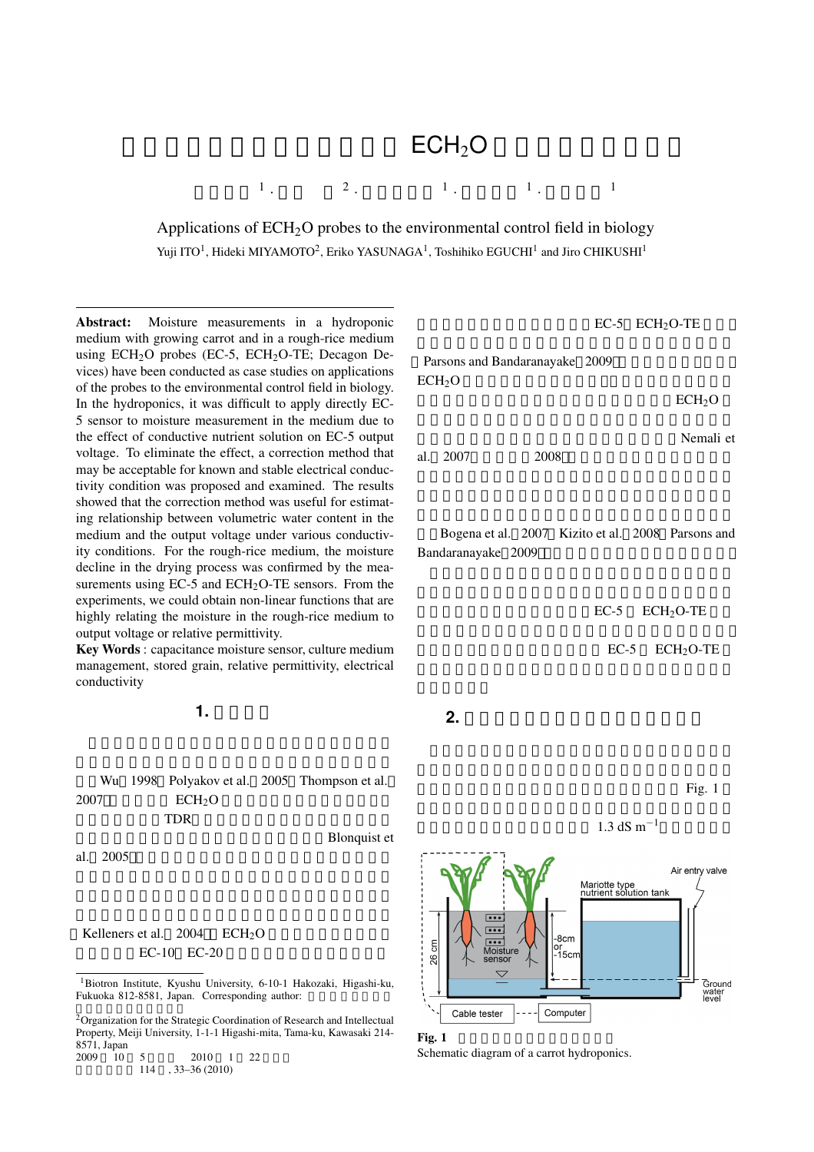## $ECH<sub>2</sub>O$

*·* 江口壽彦 <sup>1</sup>

Applications of  $ECH<sub>2</sub>O$  probes to the environmental control field in biology Yuji ITO<sup>1</sup>, Hideki MIYAMOTO<sup>2</sup>, Eriko YASUNAGA<sup>1</sup>, Toshihiko EGUCHI<sup>1</sup> and Jiro CHIKUSHI<sup>1</sup>

**·** 1

Abstract: Moisture measurements in a hydroponic medium with growing carrot and in a rough-rice medium using  $ECH<sub>2</sub>O$  probes (EC-5,  $ECH<sub>2</sub>O-TE$ ; Decagon Devices) have been conducted as case studies on applications of the probes to the environmental control field in biology. In the hydroponics, it was difficult to apply directly EC-5 sensor to moisture measurement in the medium due to the effect of conductive nutrient solution on EC-5 output voltage. To eliminate the effect, a correction method that may be acceptable for known and stable electrical conductivity condition was proposed and examined. The results showed that the correction method was useful for estimating relationship between volumetric water content in the medium and the output voltage under various conductivity conditions. For the rough-rice medium, the moisture decline in the drying process was confirmed by the measurements using EC-5 and ECH<sub>2</sub>O-TE sensors. From the experiments, we could obtain non-linear functions that are highly relating the moisture in the rough-rice medium to output voltage or relative permittivity.

 $\sim$  1

*·* 2

Key Words : capacitance moisture sensor, culture medium management, stored grain, relative permittivity, electrical conductivity

 $1.$ 

Wu 1998 Polyakov et al. 2005 Thompson et al.  $2007$  ECH<sub>2</sub>O  $TDR$ 

**Blonquist et** 



EC-5 ECH<sub>2</sub>O-TE

 $ECH<sub>2</sub>O$ 

ECH<sub>2</sub>O

Nemali et

al. 2007<sup>,</sup> 2008

Bogena et al. 2007 Kizito et al. 2008 Parsons and Bandaranayake 2009

*·* 1

EC-5 ECH<sub>2</sub>O-TE

EC-5 ECH<sub>2</sub>O-TE

**2.** 養液栽培における培地管理への適用

Fig. 1

 $1.3$  dS m<sup>−1</sup>





al. 2005

<sup>1</sup>Biotron Institute, Kyushu University, 6-10-1 Hakozaki, Higashi-ku, Fukuoka 812-8581, Japan. Corresponding author:

<sup>2</sup> Organization for the Strategic Coordination of Research and Intellectual Property, Meiji University, 1-1-1 Higashi-mita, Tama-ku, Kawasaki 214- 8571, Japan<br>2009 10

 $\frac{1}{10}$  5 2010 1 22  $114$ , 33–36 (2010)

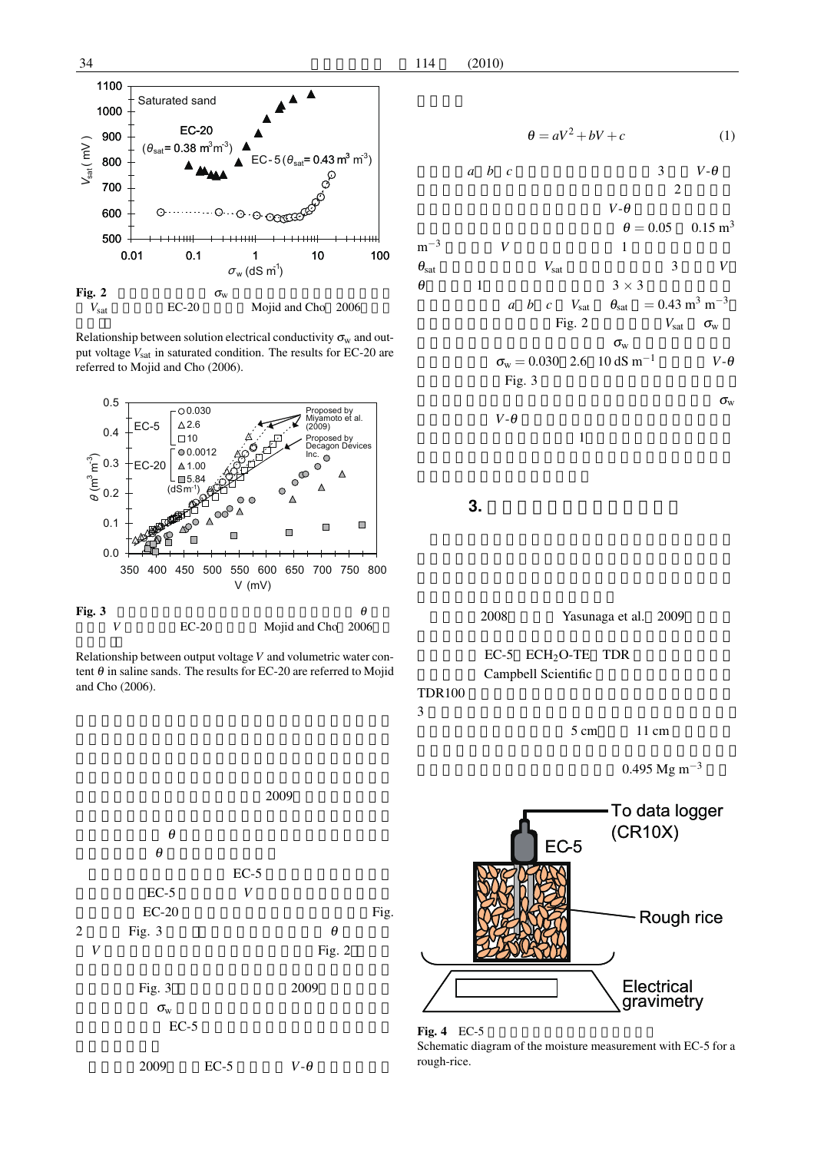

Relationship between solution electrical conductivity  $\sigma_w$  and output voltage  $V_{\text{sat}}$  in saturated condition. The results for EC-20 are referred to Mojid and Cho (2006).



Relationship between output voltage *V* and volumetric water content  $\theta$  in saline sands. The results for EC-20 are referred to Mojid and Cho (2006).



 $2009$   $EC-5$   $V-\theta$ 

$$
\theta = aV^2 + bV + c \tag{1}
$$

$$
\begin{array}{ccccc}\n a & b & c & & 3 & V-\theta \\
& & & & 2 & \end{array}
$$

$$
V - \theta
$$
\n
$$
\theta = 0.05 \quad 0.15 \text{ m}^3
$$
\n
$$
\theta_{\text{sat}}
$$
\n
$$
\theta = 0.05 \quad 0.15 \text{ m}^3
$$
\n
$$
\theta_{\text{sat}}
$$
\n
$$
\theta = 0.05 \quad 0.15 \text{ m}^3
$$
\n
$$
\theta = 0.05 \quad 0.15 \text{ m}^3
$$
\n
$$
\theta = 0.05 \quad 0.15 \text{ m}^3
$$
\n
$$
\theta = 0.05 \quad 0.15 \text{ m}^3
$$
\n
$$
\theta = 0.05 \quad 0.15 \text{ m}^3
$$
\n
$$
\theta = 0.05 \quad 0.15 \text{ m}^3
$$
\n
$$
\theta = 0.05 \quad 0.15 \text{ m}^3
$$
\n
$$
\theta = 0.05 \quad 0.15 \text{ m}^3
$$
\n
$$
\theta = 0.05 \quad 0.15 \text{ m}^3
$$
\n
$$
\theta = 0.05 \quad 0.15 \text{ m}^3
$$
\n
$$
\theta = 0.05 \quad 0.15 \text{ m}^3
$$
\n
$$
\theta = 0.05 \quad 0.15 \text{ m}^3
$$
\n
$$
\theta = 0.05 \quad 0.15 \text{ m}^3
$$
\n
$$
\theta = 0.05 \quad 0.15 \text{ m}^3
$$
\n
$$
\theta = 0.05 \quad 0.15 \text{ m}^3
$$
\n
$$
\theta = 0.05 \quad 0.15 \text{ m}^3
$$
\n
$$
\theta = 0.05 \quad 0.15 \text{ m}^3
$$
\n
$$
\theta = 0.05 \quad 0.15 \text{ m}^3
$$
\n
$$
\theta = 0.05 \quad 0.15 \text{ m}^3
$$
\n
$$
\theta = 0.05 \quad 0.15 \text{ m}^3
$$

 $\sigma_{\rm w}$  $V$ - $\theta$  $\mathbf 1$ 

**3.** 貯蔵穀物の品質管理への適用



 $5 \text{ cm}$  11 cm

0.495 Mg m<sup>−3</sup>



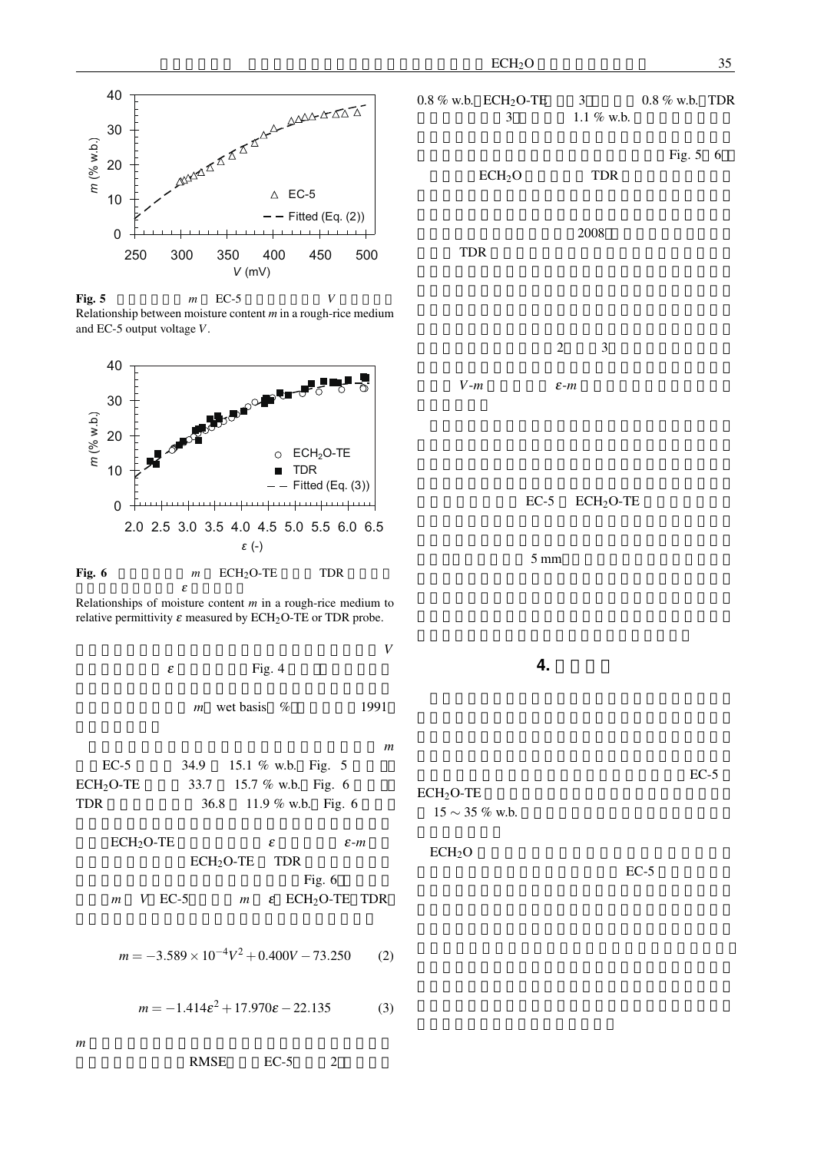





Relationships of moisture content *m* in a rough-rice medium to relative permittivity  $\varepsilon$  measured by ECH<sub>2</sub>O-TE or TDR probe.

度で充填した後,通風して籾の水分減少過程における *V*  $\epsilon$  Fig. 4

*m* wet basis % 1991

乾燥重量法により評価した実験開始時と終了時の *m* EC-5 34.9 15.1 % w.b. Fig. 5 ECH<sub>2</sub>O-TE 33.7 15.7 % w.b. Fig. 6 TDR  $36.8$  11.9 % w.b. Fig. 6

 $ECH_2O-TE$   $\varepsilon$ *m*  $ECH_2O-TE$  TDR Fig. 6  $m$  *V* EC-5  $m$  ε ECH<sub>2</sub>O-TE TDR

*m* = *−*3*.*589*×*10*−*4*V* <sup>2</sup> +0*.*400*V −*73*.*250 (2)

 $m = -1.414\epsilon^2 + 17.970\epsilon - 22.135$  (3)

0.8 % w.b. ECH<sub>2</sub>O-TE 3 0.8 % w.b. TDR<br> $\frac{3}{11\%}$  w.b.  $1.1 \%$  w.b.

Fig. 5 6

 $ECH<sub>2</sub>O$  TDR

 $2008$ 子DR がんじょう さんじょう エコレストラック エコレストラック エコレストラック しょうしゅう こうしゃ アイストラック しょうしゅう しょうしゅう しょうしゅう

 $2\qquad 3$ 

 $V-m$   $\varepsilon$ -*m* 

 $EC-5$   $ECH<sub>2</sub>O-TE$ 

 $5 \text{ mm}$ 

**4.** 

 $EC-5$ 

 $ECH<sub>2</sub>O-TE$ 15 *∼* 35 % w.b.

 $ECH<sub>2</sub>O$ 

 $EC-5$ 

 $m$